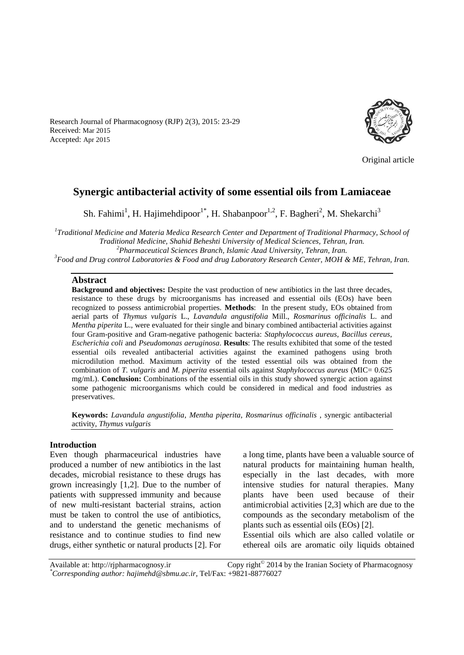Research Journal of Pharmacognosy (RJP) 2(3), 2015: 23-29 Received: Mar 2015 Accepted: Apr 2015



Original article

# **Synergic antibacterial activity of some essential oils from Lamiaceae**

Sh. Fahimi<sup>1</sup>, H. Hajimehdipoor<sup>1\*</sup>, H. Shabanpoor<sup>1,2</sup>, F. Bagheri<sup>2</sup>, M. Shekarchi<sup>3</sup>

*1 Traditional Medicine and Materia Medica Research Center and Department of Traditional Pharmacy, School of Traditional Medicine, Shahid Beheshti University of Medical Sciences, Tehran, Iran. <sup>2</sup>Pharmaceutical Sciences Branch, Islamic Azad University, Tehran, Iran.*

*<sup>3</sup>Food and Drug control Laboratories & Food and drug Laboratory Research Center, MOH & ME, Tehran, Iran.*

#### **Abstract**

**Background and objectives:** Despite the vast production of new antibiotics in the last three decades, resistance to these drugs by microorganisms has increased and essential oils (EOs) have been recognized to possess antimicrobial properties. **Methods**: In the present study, EOs obtained from aerial parts of *Thymus vulgaris* L., *Lavandula angustifolia* Mill., *Rosmarinus officinalis* L. and *Mentha piperita* L., were evaluated for their single and binary combined antibacterial activities against four Gram-positive and Gram-negative pathogenic bacteria: *Staphylococcus aureus*, *Bacillus cereus*, *Escherichia coli* and *Pseudomonas aeruginosa*. **Results**: The results exhibited that some of the tested essential oils revealed antibacterial activities against the examined pathogens using broth microdilution method. Maximum activity of the tested essential oils was obtained from the combination of *T. vulgaris* and *M. piperita* essential oils against *Staphylococcus aureus* (MIC= 0.625 mg/mL). **Conclusion:** Combinations of the essential oils in this study showed synergic action against some pathogenic microorganisms which could be considered in medical and food industries as preservatives.

**Keywords:** *Lavandula angustifolia*, *Mentha piperita*, *Rosmarinus officinalis* , synergic antibacterial activity, *Thymus vulgaris*

#### **Introduction**

Even though pharmaceurical industries have produced a number of new antibiotics in the last decades, microbial resistance to these drugs has grown increasingly [\[1](#page-4-0)[,2\]](#page-4-1). Due to the number of patients with suppressed immunity and because of new multi-resistant bacterial strains, action must be taken to control the use of antibiotics, and to understand the genetic mechanisms of resistance and to continue studies to find new drugs, either synthetic or natural products [\[2\]](#page-4-1). For a long time, plants have been a valuable source of natural products for maintaining human health, especially in the last decades, with more intensive studies for natural therapies. Many plants have been used because of their antimicrobial activities [\[2](#page-4-1)[,3\]](#page-4-2) which are due to the compounds as the secondary metabolism of the plants such as essential oils (EOs) [\[2\]](#page-4-1).

Essential oils which are also called volatile or ethereal oils are aromatic oily liquids obtained

Available at: http://rjpharmacognosy.ir Copy right<sup>©</sup> 2014 by the Iranian Society of Pharmacognosy *\*Corresponding author: hajimehd@sbmu.ac.ir,* Tel/Fax: +9821-88776027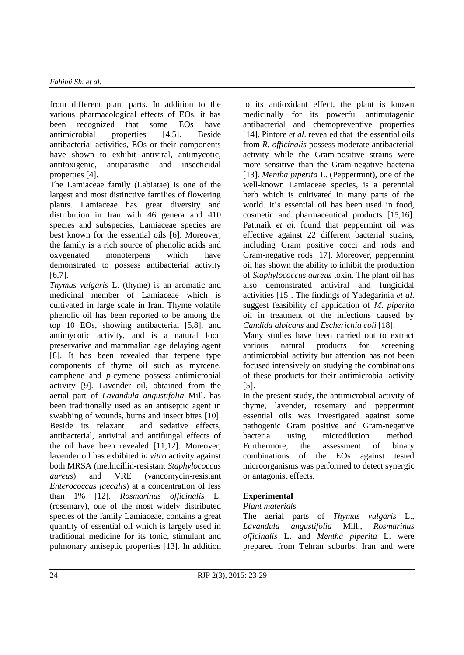from different plant parts. In addition to the various pharmacological effects of EOs, it has been recognized that some EOs have antimicrobial properties [\[4](#page-5-0)[,5\]](#page-5-1). Beside antibacterial activities, EOs or their components have shown to exhibit antiviral, antimycotic, antitoxigenic, antiparasitic and insecticidal properties [\[4\]](#page-5-0).

The Lamiaceae family (Labiatae) is one of the largest and most distinctive families of flowering plants. Lamiaceae has great diversity and distribution in Iran with 46 genera and 410 species and subspecies, Lamiaceae species are best known for the essential oils [\[6\]](#page-5-2). Moreover, the family is a rich source of phenolic acids and oxygenated monoterpens which have demonstrated to possess antibacterial activity [\[6](#page-5-2)[,7\]](#page-5-3).

*Thymus vulgaris* L. (thyme) is an aromatic and medicinal member of Lamiaceae which is cultivated in large scale in Iran. Thyme volatile phenolic oil has been reported to be among the top 10 EOs, showing antibacterial [\[5](#page-5-1)[,8\]](#page-5-4), and antimycotic activity, and is a natural food preservative and mammalian age delaying agent [\[8\]](#page-5-4). It has been revealed that terpene type components of thyme oil such as myrcene, camphene and *p*-cymene possess antimicrobial activity [\[9\]](#page-5-5). Lavender oil, obtained from the aerial part of *Lavandula angustifolia* Mill. has been traditionally used as an antiseptic agent in swabbing of wounds, burns and insect bites [\[10\]](#page-5-6). Beside its relaxant and sedative effects, antibacterial, antiviral and antifungal effects of the oil have been revealed [\[11,](#page-5-7)[12\]](#page-5-8). Moreover, lavender oil has exhibited *in vitro* activity against both MRSA (methicillin-resistant *Staphylococcus aureus*) and VRE (vancomycin-resistant *Enterococcus faecalis*) at a concentration of less than 1% [\[12\]](#page-5-8). *Rosmarinus officinalis* L. (rosemary), one of the most widely distributed species of the family Lamiaceae, contains a great quantity of essential oil which is largely used in traditional medicine for its tonic, stimulant and pulmonary antiseptic properties [\[13\]](#page-5-9). In addition to its antioxidant effect, the plant is known medicinally for its powerful antimutagenic antibacterial and chemopreventive properties [\[14\]](#page-5-10). Pintore *et al*. revealed that the essential oils from *R. officinalis* possess moderate antibacterial activity while the Gram-positive strains were more sensitive than the Gram-negative bacteria [\[13\]](#page-5-9). *Mentha piperita* L. (Peppermint), one of the well-known Lamiaceae species, is a perennial herb which is cultivated in many parts of the world. It's essential oil has been used in food, cosmetic and pharmaceutical products [\[15](#page-5-11)[,16\]](#page-5-12). Pattnaik *et al.* found that peppermint oil was effective against 22 different bacterial strains, including Gram positive cocci and rods and Gram-negative rods [\[17\]](#page-5-13). Moreover, peppermint oil has shown the ability to inhibit the production of *Staphylococcus aureus* toxin. The plant oil has also demonstrated antiviral and fungicidal activities [\[15\]](#page-5-11). The findings of Yadegarinia *et al*. suggest feasibility of application of *M. piperita* oil in treatment of the infections caused by *Candida albicans* and *Escherichia coli* [\[18\]](#page-5-14).

Many studies have been carried out to extract various natural products for screening antimicrobial activity but attention has not been focused intensively on studying the combinations of these products for their antimicrobial activity [\[5\]](#page-5-1).

In the present study, the antimicrobial activity of thyme, lavender, rosemary and peppermint essential oils was investigated against some pathogenic Gram positive and Gram-negative bacteria using microdilution method. Furthermore, the assessment of binary combinations of the EOs against tested microorganisms was performed to detect synergic or antagonist effects.

# **Experimental**

## *Plant materials*

The aerial parts of *Thymus vulgaris* L., *Lavandula angustifolia* Mill., *Rosmarinus officinalis* L. and *Mentha piperita* L. were prepared from Tehran suburbs, Iran and were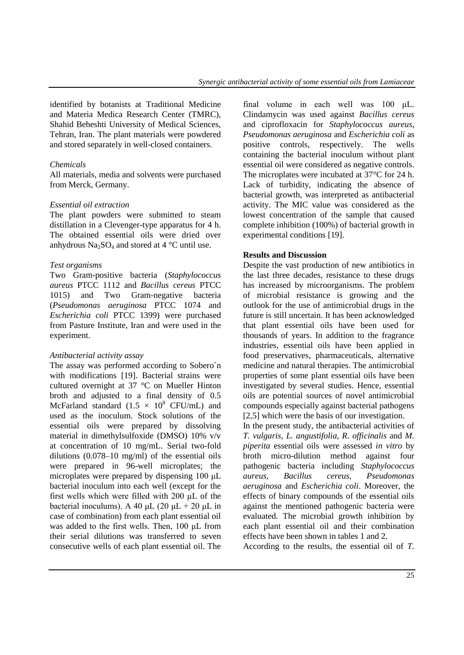identified by botanists at Traditional Medicine and Materia Medica Research Center (TMRC), Shahid Beheshti University of Medical Sciences, Tehran, Iran. The plant materials were powdered and stored separately in well-closed containers.

#### *Chemicals*

All materials, media and solvents were purchased from Merck, Germany.

#### *Essential oil extraction*

The plant powders were submitted to steam distillation in a Clevenger-type apparatus for 4 h. The obtained essential oils were dried over anhydrous  $Na<sub>2</sub>SO<sub>4</sub>$  and stored at 4 °C until use.

#### *Test organisms*

Two Gram-positive bacteria (*Staphylococcus aureus* PTCC 1112 and *Bacillus cereus* PTCC 1015) and Two Gram-negative bacteria (*Pseudomonas aeruginosa* PTCC 1074 and *Escherichia coli* PTCC 1399) were purchased from Pasture Institute, Iran and were used in the experiment.

#### *Antibacterial activity assay*

The assay was performed according to Sobero´n with modifications [\[19\]](#page-5-15). Bacterial strains were cultured overnight at 37 °C on Mueller Hinton broth and adjusted to a final density of 0.5 McFarland standard  $(1.5 \times 10^8 \text{ CFU/mL})$  and used as the inoculum. Stock solutions of the essential oils were prepared by dissolving material in dimethylsulfoxide (DMSO) 10% v/v at concentration of 10 mg/mL. Serial two-fold dilutions (0.078–10 mg/ml) of the essential oils were prepared in 96-well microplates; the microplates were prepared by dispensing 100 μL bacterial inoculum into each well (except for the first wells which were filled with 200 μL of the bacterial inoculums). A 40 μL (20 μL + 20 μL in case of combination) from each plant essential oil was added to the first wells. Then, 100 μL from their serial dilutions was transferred to seven consecutive wells of each plant essential oil. The final volume in each well was 100 μL. Clindamycin was used against *Bacillus cereus* and ciprofloxacin for *Staphylococcus aureus, Pseudomonas aeruginosa* and *Escherichia coli* as positive controls, respectively. The wells containing the bacterial inoculum without plant essential oil were considered as negative controls. The microplates were incubated at 37°C for 24 h. Lack of turbidity, indicating the absence of bacterial growth, was interpreted as antibacterial activity. The MIC value was considered as the lowest concentration of the sample that caused complete inhibition (100%) of bacterial growth in experimental conditions [\[19\]](#page-5-15).

#### **Results and Discussion**

Despite the vast production of new antibiotics in the last three decades, resistance to these drugs has increased by microorganisms. The problem of microbial resistance is growing and the outlook for the use of antimicrobial drugs in the future is still uncertain. It has been acknowledged that plant essential oils have been used for thousands of years. In addition to the fragrance industries, essential oils have been applied in food preservatives, pharmaceuticals, alternative medicine and natural therapies. The antimicrobial properties of some plant essential oils have been investigated by several studies. Hence, essential oils are potential sources of novel antimicrobial compounds especially against bacterial pathogens [\[2](#page-4-1).5] which were the basis of our investigation.

In the present study, the antibacterial activities of *T. vulgaris*, *L. angustifolia*, *R. officinalis* and *M. piperita* essential oils were assessed *in vitro* by broth micro-dilution method against four pathogenic bacteria including *Staphylococcus aureus*, *Bacillus cereus*, *Pseudomonas aeruginosa* and *Escherichia coli*. Moreover, the effects of binary compounds of the essential oils against the mentioned pathogenic bacteria were evaluated. The microbial growth inhibition by each plant essential oil and their combination effects have been shown in tables 1 and 2.

According to the results, the essential oil of *T.*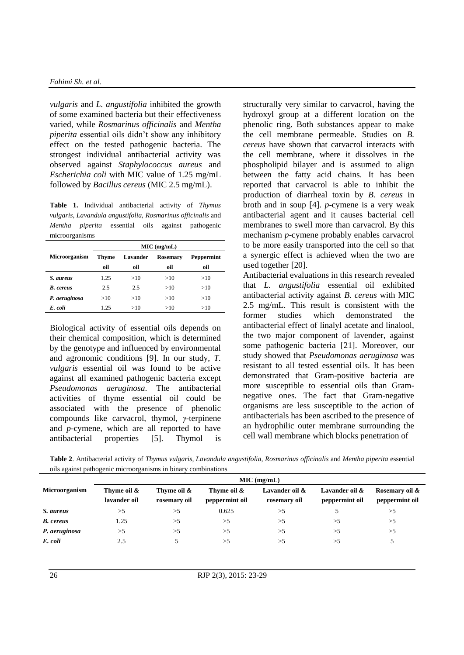*vulgaris* and *L. angustifolia* inhibited the growth of some examined bacteria but their effectiveness varied, while *Rosmarinus officinalis* and *Mentha piperita* essential oils didn't show any inhibitory effect on the tested pathogenic bacteria. The strongest individual antibacterial activity was observed against *Staphylococcus aureus* and *Escherichia coli* with MIC value of 1.25 mg/mL followed by *Bacillus cereus* (MIC 2.5 mg/mL).

**Table 1.** Individual antibacterial activity of *Thymus vulgaris, Lavandula angustifolia, Rosmarinus officinalis* and *Mentha piperita* essential oils against pathogenic microorganisms

|                      | $MIC$ (mg/mL) |                             |     |                   |  |  |
|----------------------|---------------|-----------------------------|-----|-------------------|--|--|
| <b>Microorganism</b> | Thyme         | <b>Rosemary</b><br>Lavander |     | <b>Peppermint</b> |  |  |
|                      | oil           | oil                         | oil | oil               |  |  |
| S. aureus            | 1.25          | >10                         | >10 | >10               |  |  |
| <b>B.</b> cereus     | 2.5           | 2.5                         | >10 | >10               |  |  |
| P. aeruginosa        | >10           | >10                         | >10 | >10               |  |  |
| E. coli              | 1.25          | >10                         | >10 | >10               |  |  |

Biological activity of essential oils depends on their chemical composition, which is determined by the genotype and influenced by environmental and agronomic conditions [\[9\]](#page-5-5). In our study, *T. vulgaris* essential oil was found to be active against all examined pathogenic bacteria except *Pseudomonas aeruginosa*. The antibacterial activities of thyme essential oil could be associated with the presence of phenolic compounds like carvacrol, thymol, *γ*-terpinene and *p*-cymene, which are all reported to have antibacterial properties [\[5\]](#page-5-1). Thymol is

structurally very similar to carvacrol, having the hydroxyl group at a different location on the phenolic ring. Both substances appear to make the cell membrane permeable. Studies on *B. cereus* have shown that carvacrol interacts with the cell membrane, where it dissolves in the phospholipid bilayer and is assumed to align between the fatty acid chains. It has been reported that carvacrol is able to inhibit the production of diarrheal toxin by *B. cereus* in broth and in soup [\[4\]](#page-5-0). *p*-cymene is a very weak antibacterial agent and it causes bacterial cell membranes to swell more than carvacrol. By this mechanism *p*-cymene probably enables carvacrol to be more easily transported into the cell so that a synergic effect is achieved when the two are used together [\[20\]](#page-5-16).

Antibacterial evaluations in this research revealed that *L. angustifolia* essential oil exhibited antibacterial activity against *B. cereus* with MIC 2.5 mg/mL. This result is consistent with the former studies which demonstrated the antibacterial effect of linalyl acetate and linalool, the two major component of lavender, against some pathogenic bacteria [\[21\]](#page-6-0). Moreover, our study showed that *Pseudomonas aeruginosa* was resistant to all tested essential oils. It has been demonstrated that Gram-positive bacteria are more susceptible to essential oils than Gramnegative ones. The fact that Gram-negative organisms are less susceptible to the action of antibacterials has been ascribed to the presence of an hydrophilic outer membrane surrounding the cell wall membrane which blocks penetration of

**Table 2**. Antibacterial activity of *Thymus vulgaris, Lavandula angustifolia, Rosmarinus officinalis* and *Mentha piperita* essential oils against pathogenic microorganisms in binary combinations

|                      | MIC (mg/mL)  |              |                |                |                |                |  |  |
|----------------------|--------------|--------------|----------------|----------------|----------------|----------------|--|--|
| <b>Microorganism</b> | Thyme oil &  | Thyme oil &  | Thyme oil &    | Lavander oil & | Lavander oil & | Rosemary oil & |  |  |
|                      | lavander oil | rosemary oil | peppermint oil | rosemary oil   | peppermint oil | peppermint oil |  |  |
| S. aureus            | $>$ ל        | >5           | 0.625          | >5             |                | >              |  |  |
| <b>B.</b> cereus     | 1.25         | >5           | $>$ 5          | >              | >5             | >5             |  |  |
| P. aeruginosa        | >5           | >5           | >5             | >              | >5             | >5             |  |  |
| E. coli              | 2.5          |              | >5             | $\rightarrow$  | >5             |                |  |  |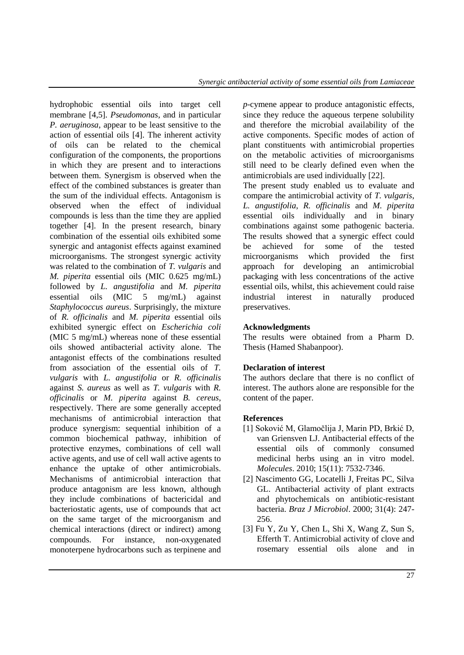hydrophobic essential oils into target cell membrane [\[4](#page-5-0)[,5\]](#page-5-1). *Pseudomonas*, and in particular *P. aeruginosa*, appear to be least sensitive to the action of essential oils [\[4\]](#page-5-0). The inherent activity of oils can be related to the chemical configuration of the components, the proportions in which they are present and to interactions between them. Synergism is observed when the effect of the combined substances is greater than the sum of the individual effects. Antagonism is observed when the effect of individual compounds is less than the time they are applied together [\[4\]](#page-5-0). In the present research, binary combination of the essential oils exhibited some synergic and antagonist effects against examined microorganisms. The strongest synergic activity was related to the combination of *T. vulgaris* and *M. piperita* essential oils (MIC 0.625 mg/mL) followed by *L. angustifolia* and *M. piperita* essential oils (MIC 5 mg/mL) against *Staphylococcus aureus*. Surprisingly, the mixture of *R. officinalis* and *M. piperita* essential oils exhibited synergic effect on *Escherichia coli* (MIC 5 mg/mL) whereas none of these essential oils showed antibacterial activity alone. The antagonist effects of the combinations resulted from association of the essential oils of *T. vulgaris* with *L. angustifolia* or *R. officinalis* against *S. aureus* as well as *T. vulgaris* with *R. officinalis* or *M. piperita* against *B. cereus*, respectively. There are some generally accepted mechanisms of antimicrobial interaction that produce synergism: sequential inhibition of a common biochemical pathway, inhibition of protective enzymes, combinations of cell wall active agents, and use of cell wall active agents to enhance the uptake of other antimicrobials. Mechanisms of antimicrobial interaction that produce antagonism are less known, although they include combinations of bactericidal and bacteriostatic agents, use of compounds that act on the same target of the microorganism and chemical interactions (direct or indirect) among compounds. For instance, non-oxygenated monoterpene hydrocarbons such as terpinene and

*p*-cymene appear to produce antagonistic effects, since they reduce the aqueous terpene solubility and therefore the microbial availability of the active components. Specific modes of action of plant constituents with antimicrobial properties on the metabolic activities of microorganisms still need to be clearly defined even when the antimicrobials are used individually [\[22\]](#page-6-1).

The present study enabled us to evaluate and compare the antimicrobial activity of *T. vulgaris*, *L. angustifolia*, *R. officinalis* and *M. piperita* essential oils individually and in binary combinations against some pathogenic bacteria. The results showed that a synergic effect could be achieved for some of the tested microorganisms which provided the first approach for developing an antimicrobial packaging with less concentrations of the active essential oils, whilst, this achievement could raise industrial interest in naturally produced preservatives.

### **Acknowledgments**

The results were obtained from a Pharm D. Thesis (Hamed Shabanpoor).

## **Declaration of interest**

The authors declare that there is no conflict of interest. The authors alone are responsible for the content of the paper.

### **References**

- <span id="page-4-0"></span>[1] Soković M, Glamočlija J, Marin PD, Brkić D, van Griensven LJ. Antibacterial effects of the essential oils of commonly consumed medicinal herbs using an in vitro model. *Molecules*. 2010; 15(11): 7532-7346.
- <span id="page-4-1"></span>[2] Nascimento GG, Locatelli J, Freitas PC, Silva GL. Antibacterial activity of plant extracts and phytochemicals on antibiotic-resistant bacteria. *Braz J Microbiol*. 2000; 31(4): 247- 256.
- <span id="page-4-2"></span>[3] Fu Y, Zu Y, Chen L, Shi X, Wang Z, Sun S, Efferth T. Antimicrobial activity of clove and rosemary essential oils alone and in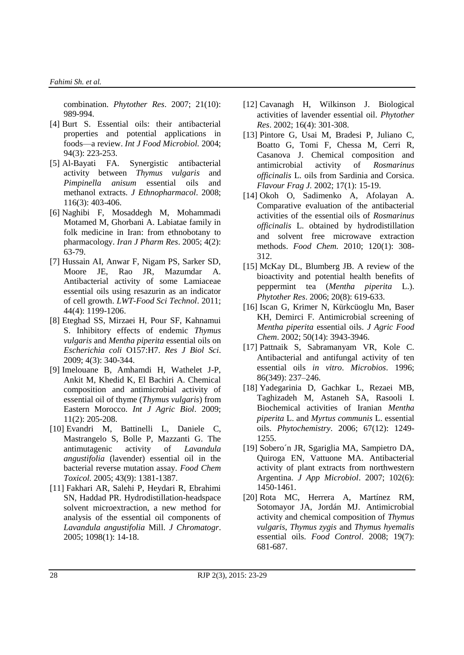combination. *Phytother Res*. 2007; 21(10): 989-994.

- <span id="page-5-0"></span>[4] Burt S. Essential oils: their antibacterial properties and potential applications in foods—a review. *Int J Food Microbiol.* 2004; 94(3): 223-253.
- <span id="page-5-1"></span>[5] Al-Bayati FA. Synergistic antibacterial activity between *Thymus vulgaris* and *Pimpinella anisum* essential oils and methanol extracts. *J Ethnopharmacol*. 2008; 116(3): 403-406.
- <span id="page-5-2"></span>[6] Naghibi F, Mosaddegh M, Mohammadi Motamed M, Ghorbani A. Labiatae family in folk medicine in Iran: from ethnobotany to pharmacology. *Iran J Pharm Res*. 2005; 4(2): 63-79.
- <span id="page-5-3"></span>[7] Hussain AI, Anwar F, Nigam PS, Sarker SD, Moore JE, Rao JR, Mazumdar A. Antibacterial activity of some Lamiaceae essential oils using resazurin as an indicator of cell growth. *LWT-Food Sci Technol*. 2011; 44(4): 1199-1206.
- <span id="page-5-4"></span>[8] Eteghad SS, Mirzaei H, Pour SF, Kahnamui S. Inhibitory effects of endemic *Thymus vulgaris* and *Mentha piperita* essential oils on *Escherichia coli* O157:H7. *Res J Biol Sci*. 2009; 4(3): 340-344.
- <span id="page-5-5"></span>[9] Imelouane B, Amhamdi H, Wathelet J-P, Ankit M, Khedid K, El Bachiri A. Chemical composition and antimicrobial activity of essential oil of thyme (*Thymus vulgaris*) from Eastern Morocco. *Int J Agric Biol*. 2009; 11(2): 205-208.
- <span id="page-5-6"></span>[10] Evandri M, Battinelli L, Daniele C, Mastrangelo S, Bolle P, Mazzanti G. The antimutagenic activity of *Lavandula angustifolia* (lavender) essential oil in the bacterial reverse mutation assay. *Food Chem Toxicol.* 2005; 43(9): 1381-1387.
- <span id="page-5-7"></span>[11] Fakhari AR, Salehi P, Heydari R, Ebrahimi SN, Haddad PR. Hydrodistillation-headspace solvent microextraction, a new method for analysis of the essential oil components of *Lavandula angustifolia* Mill. *J Chromatogr*. 2005; 1098(1): 14-18.
- <span id="page-5-8"></span>[12] Cavanagh H, Wilkinson J. Biological activities of lavender essential oil. *Phytother Res*. 2002; 16(4): 301-308.
- <span id="page-5-9"></span>[13] Pintore G, Usai M, Bradesi P, Juliano C, Boatto G, Tomi F, Chessa M, Cerri R, Casanova J. Chemical composition and antimicrobial activity of *Rosmarinus officinalis* L. oils from Sardinia and Corsica. *Flavour Frag J.* 2002; 17(1): 15-19.
- <span id="page-5-10"></span>[14] Okoh O, Sadimenko A, Afolayan A. Comparative evaluation of the antibacterial activities of the essential oils of *Rosmarinus officinalis* L. obtained by hydrodistillation and solvent free microwave extraction methods. *Food Chem.* 2010; 120(1): 308- 312.
- <span id="page-5-11"></span>[15] McKay DL, Blumberg JB. A review of the bioactivity and potential health benefits of peppermint tea (*Mentha piperita* L.). *Phytother Res*. 2006; 20(8): 619-633.
- <span id="page-5-12"></span>[16] Iscan G, Krimer N, Kürkcüoglu Mn, Baser KH, Demirci F. Antimicrobial screening of *Mentha piperita* essential oils. *J Agric Food Chem*. 2002; 50(14): 3943-3946.
- <span id="page-5-13"></span>[17] Pattnaik S, Sabramanyam VR, Kole C. Antibacterial and antifungal activity of ten essential oils *in vitro*. *Microbios*. 1996; 86(349): 237–246.
- <span id="page-5-14"></span>[18] Yadegarinia D, Gachkar L, Rezaei MB, Taghizadeh M, Astaneh SA, Rasooli I. Biochemical activities of Iranian *Mentha piperita* L. and *Myrtus communis* L. essential oils. *Phytochemistry*. 2006; 67(12): 1249- 1255.
- <span id="page-5-15"></span>[19] Sobero´n JR, Sgariglia MA, Sampietro DA, Quiroga EN, Vattuone MA. Antibacterial activity of plant extracts from northwestern Argentina. *J App Microbiol*. 2007; 102(6): 1450-1461.
- <span id="page-5-16"></span>[20] Rota MC, Herrera A, Martínez RM, Sotomayor JA, Jordán MJ. Antimicrobial activity and chemical composition of *Thymus vulgaris*, *Thymus zygis* and *Thymus hyemalis* essential oils. *Food Control*. 2008; 19(7): 681-687.